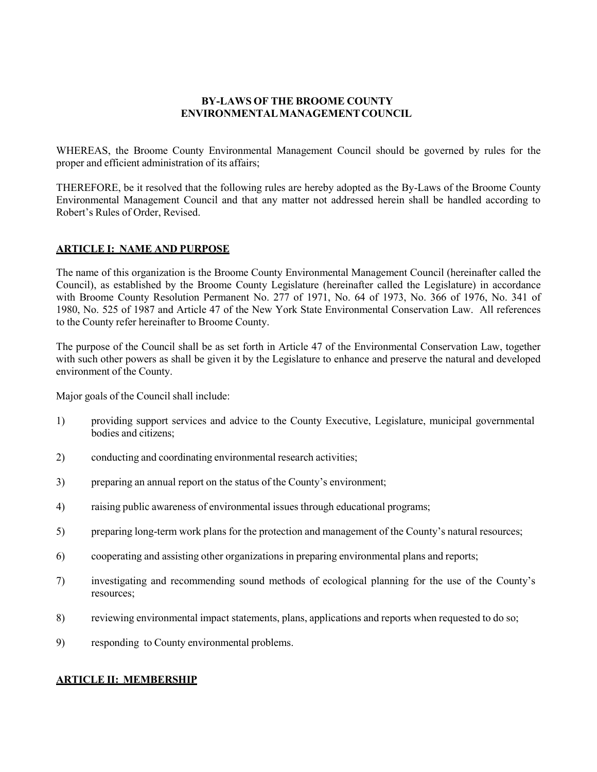## **BY-LAWS OF THE BROOME COUNTY ENVIRONMENTALMANAGEMENTCOUNCIL**

WHEREAS, the Broome County Environmental Management Council should be governed by rules for the proper and efficient administration of its affairs;

THEREFORE, be it resolved that the following rules are hereby adopted as the By-Laws of the Broome County Environmental Management Council and that any matter not addressed herein shall be handled according to Robert's Rules of Order, Revised.

## **ARTICLE I: NAME AND PURPOSE**

The name of this organization is the Broome County Environmental Management Council (hereinafter called the Council), as established by the Broome County Legislature (hereinafter called the Legislature) in accordance with Broome County Resolution Permanent No. 277 of 1971, No. 64 of 1973, No. 366 of 1976, No. 341 of 1980, No. 525 of 1987 and Article 47 of the New York State Environmental Conservation Law. All references to the County refer hereinafter to Broome County.

The purpose of the Council shall be as set forth in Article 47 of the Environmental Conservation Law, together with such other powers as shall be given it by the Legislature to enhance and preserve the natural and developed environment of the County.

Major goals of the Council shall include:

- 1) providing support services and advice to the County Executive, Legislature, municipal governmental bodies and citizens;
- 2) conducting and coordinating environmental research activities;
- 3) preparing an annual report on the status of the County's environment;
- 4) raising public awareness of environmental issues through educational programs;
- 5) preparing long-term work plans for the protection and management of the County's natural resources;
- 6) cooperating and assisting other organizations in preparing environmental plans and reports;
- 7) investigating and recommending sound methods of ecological planning for the use of the County's resources;
- 8) reviewing environmental impact statements, plans, applications and reports when requested to do so;
- 9) responding to County environmental problems.

## **ARTICLE II: MEMBERSHIP**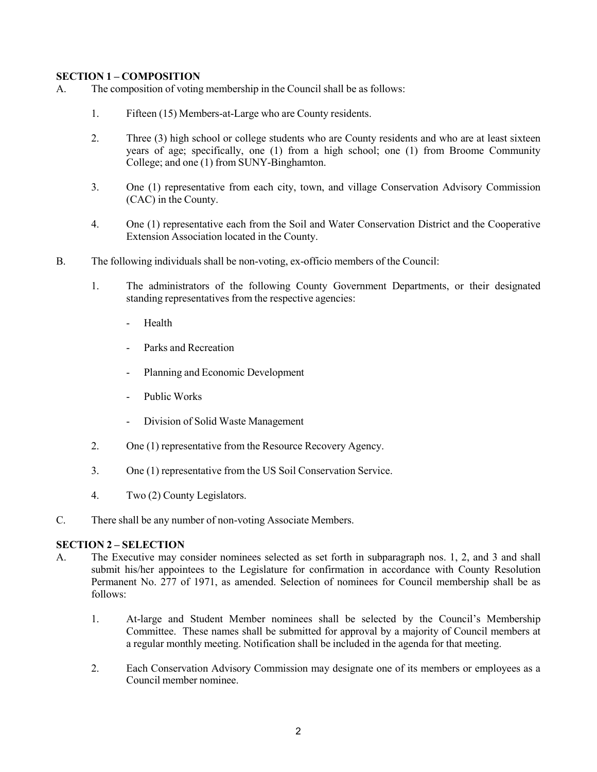# **SECTION 1 – COMPOSITION**

- A. The composition of voting membership in the Council shall be as follows:
	- 1. Fifteen (15) Members-at-Large who are County residents.
	- 2. Three (3) high school or college students who are County residents and who are at least sixteen years of age; specifically, one (1) from a high school; one (1) from Broome Community College; and one (1) from SUNY-Binghamton.
	- 3. One (1) representative from each city, town, and village Conservation Advisory Commission (CAC) in the County.
	- 4. One (1) representative each from the Soil and Water Conservation District and the Cooperative Extension Association located in the County.
- B. The following individuals shall be non-voting, ex-officio members of the Council:
	- 1. The administrators of the following County Government Departments, or their designated standing representatives from the respective agencies:
		- **Health**
		- Parks and Recreation
		- Planning and Economic Development
		- Public Works
		- Division of Solid Waste Management
	- 2. One (1) representative from the Resource Recovery Agency.
	- 3. One (1) representative from the US Soil Conservation Service.
	- 4. Two (2) County Legislators.
- C. There shall be any number of non-voting Associate Members.

## **SECTION 2 – SELECTION**

- A. The Executive may consider nominees selected as set forth in subparagraph nos. 1, 2, and 3 and shall submit his/her appointees to the Legislature for confirmation in accordance with County Resolution Permanent No. 277 of 1971, as amended. Selection of nominees for Council membership shall be as follows:
	- 1. At-large and Student Member nominees shall be selected by the Council's Membership Committee. These names shall be submitted for approval by a majority of Council members at a regular monthly meeting. Notification shall be included in the agenda for that meeting.
	- 2. Each Conservation Advisory Commission may designate one of its members or employees as a Council member nominee.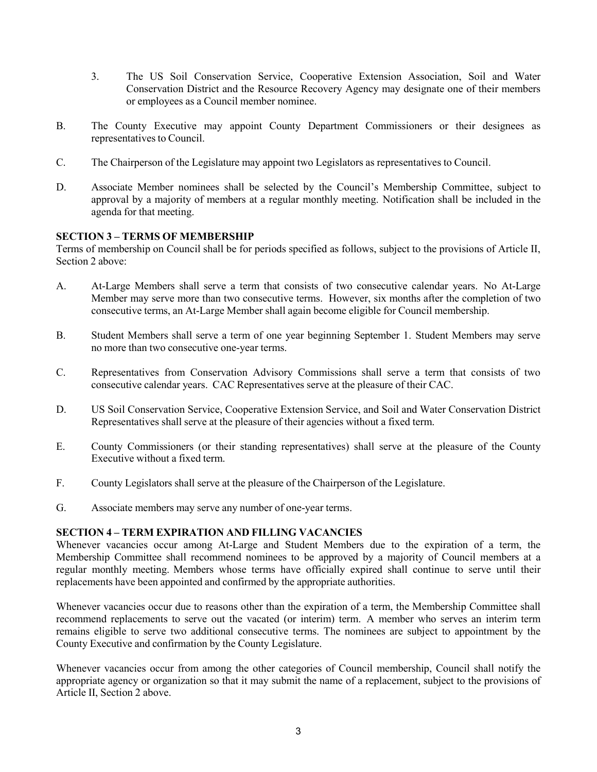- 3. The US Soil Conservation Service, Cooperative Extension Association, Soil and Water Conservation District and the Resource Recovery Agency may designate one of their members or employees as a Council member nominee.
- B. The County Executive may appoint County Department Commissioners or their designees as representatives to Council.
- C. The Chairperson of the Legislature may appoint two Legislators as representatives to Council.
- D. Associate Member nominees shall be selected by the Council's Membership Committee, subject to approval by a majority of members at a regular monthly meeting. Notification shall be included in the agenda for that meeting.

# **SECTION 3 – TERMS OF MEMBERSHIP**

Terms of membership on Council shall be for periods specified as follows, subject to the provisions of Article II, Section 2 above:

- A. At-Large Members shall serve a term that consists of two consecutive calendar years. No At-Large Member may serve more than two consecutive terms. However, six months after the completion of two consecutive terms, an At-Large Member shall again become eligible for Council membership.
- B. Student Members shall serve a term of one year beginning September 1. Student Members may serve no more than two consecutive one-year terms.
- C. Representatives from Conservation Advisory Commissions shall serve a term that consists of two consecutive calendar years. CAC Representatives serve at the pleasure of their CAC.
- D. US Soil Conservation Service, Cooperative Extension Service, and Soil and Water Conservation District Representatives shall serve at the pleasure of their agencies without a fixed term.
- E. County Commissioners (or their standing representatives) shall serve at the pleasure of the County Executive without a fixed term.
- F. County Legislators shall serve at the pleasure of the Chairperson of the Legislature.
- G. Associate members may serve any number of one-year terms.

## **SECTION 4 – TERM EXPIRATION AND FILLING VACANCIES**

Whenever vacancies occur among At-Large and Student Members due to the expiration of a term, the Membership Committee shall recommend nominees to be approved by a majority of Council members at a regular monthly meeting. Members whose terms have officially expired shall continue to serve until their replacements have been appointed and confirmed by the appropriate authorities.

Whenever vacancies occur due to reasons other than the expiration of a term, the Membership Committee shall recommend replacements to serve out the vacated (or interim) term. A member who serves an interim term remains eligible to serve two additional consecutive terms. The nominees are subject to appointment by the County Executive and confirmation by the County Legislature.

Whenever vacancies occur from among the other categories of Council membership, Council shall notify the appropriate agency or organization so that it may submit the name of a replacement, subject to the provisions of Article II, Section 2 above.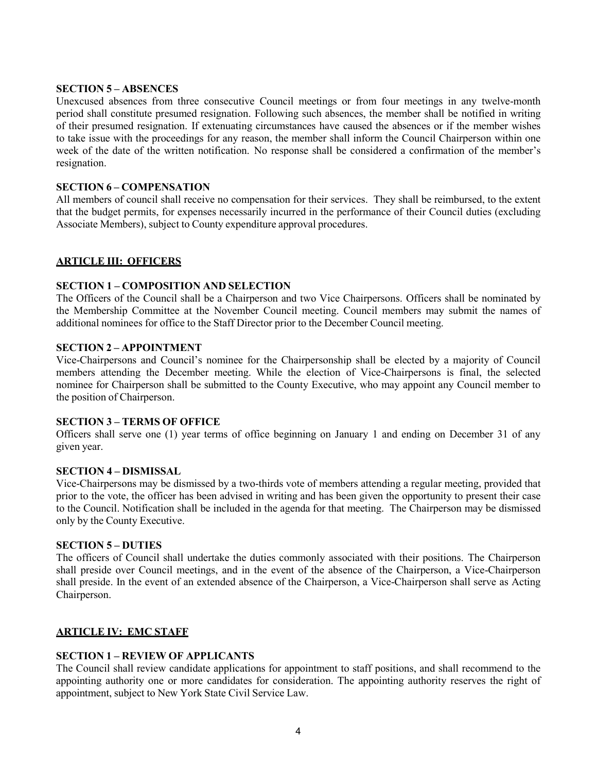### **SECTION 5 – ABSENCES**

Unexcused absences from three consecutive Council meetings or from four meetings in any twelve-month period shall constitute presumed resignation. Following such absences, the member shall be notified in writing of their presumed resignation. If extenuating circumstances have caused the absences or if the member wishes to take issue with the proceedings for any reason, the member shall inform the Council Chairperson within one week of the date of the written notification. No response shall be considered a confirmation of the member's resignation.

## **SECTION 6 – COMPENSATION**

All members of council shall receive no compensation for their services. They shall be reimbursed, to the extent that the budget permits, for expenses necessarily incurred in the performance of their Council duties (excluding Associate Members), subject to County expenditure approval procedures.

# **ARTICLE III: OFFICERS**

# **SECTION 1 – COMPOSITION AND SELECTION**

The Officers of the Council shall be a Chairperson and two Vice Chairpersons. Officers shall be nominated by the Membership Committee at the November Council meeting. Council members may submit the names of additional nominees for office to the Staff Director prior to the December Council meeting.

### **SECTION 2 – APPOINTMENT**

Vice-Chairpersons and Council's nominee for the Chairpersonship shall be elected by a majority of Council members attending the December meeting. While the election of Vice-Chairpersons is final, the selected nominee for Chairperson shall be submitted to the County Executive, who may appoint any Council member to the position of Chairperson.

#### **SECTION 3 – TERMS OF OFFICE**

Officers shall serve one (1) year terms of office beginning on January 1 and ending on December 31 of any given year.

## **SECTION 4 – DISMISSAL**

Vice-Chairpersons may be dismissed by a two-thirds vote of members attending a regular meeting, provided that prior to the vote, the officer has been advised in writing and has been given the opportunity to present their case to the Council. Notification shall be included in the agenda for that meeting. The Chairperson may be dismissed only by the County Executive.

#### **SECTION 5 – DUTIES**

The officers of Council shall undertake the duties commonly associated with their positions. The Chairperson shall preside over Council meetings, and in the event of the absence of the Chairperson, a Vice-Chairperson shall preside. In the event of an extended absence of the Chairperson, a Vice-Chairperson shall serve as Acting Chairperson.

## **ARTICLE IV: EMC STAFF**

## **SECTION 1 – REVIEW OF APPLICANTS**

The Council shall review candidate applications for appointment to staff positions, and shall recommend to the appointing authority one or more candidates for consideration. The appointing authority reserves the right of appointment, subject to New York State Civil Service Law.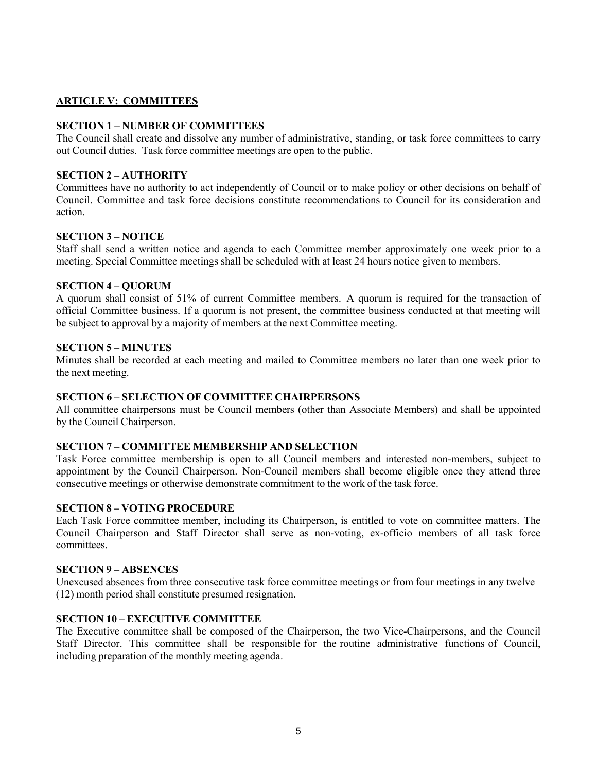# **ARTICLE V: COMMITTEES**

## **SECTION 1 – NUMBER OF COMMITTEES**

The Council shall create and dissolve any number of administrative, standing, or task force committees to carry out Council duties. Task force committee meetings are open to the public.

### **SECTION 2 – AUTHORITY**

Committees have no authority to act independently of Council or to make policy or other decisions on behalf of Council. Committee and task force decisions constitute recommendations to Council for its consideration and action.

### **SECTION 3 – NOTICE**

Staff shall send a written notice and agenda to each Committee member approximately one week prior to a meeting. Special Committee meetings shall be scheduled with at least 24 hours notice given to members.

### **SECTION 4 – QUORUM**

A quorum shall consist of 51% of current Committee members. A quorum is required for the transaction of official Committee business. If a quorum is not present, the committee business conducted at that meeting will be subject to approval by a majority of members at the next Committee meeting.

### **SECTION 5 – MINUTES**

Minutes shall be recorded at each meeting and mailed to Committee members no later than one week prior to the next meeting.

## **SECTION 6 – SELECTION OF COMMITTEE CHAIRPERSONS**

All committee chairpersons must be Council members (other than Associate Members) and shall be appointed by the Council Chairperson.

#### **SECTION 7 – COMMITTEE MEMBERSHIP AND SELECTION**

Task Force committee membership is open to all Council members and interested non-members, subject to appointment by the Council Chairperson. Non-Council members shall become eligible once they attend three consecutive meetings or otherwise demonstrate commitment to the work of the task force.

#### **SECTION 8 – VOTING PROCEDURE**

Each Task Force committee member, including its Chairperson, is entitled to vote on committee matters. The Council Chairperson and Staff Director shall serve as non-voting, ex-officio members of all task force committees.

### **SECTION 9 – ABSENCES**

Unexcused absences from three consecutive task force committee meetings or from four meetings in any twelve (12) month period shall constitute presumed resignation.

### **SECTION 10 – EXECUTIVE COMMITTEE**

The Executive committee shall be composed of the Chairperson, the two Vice-Chairpersons, and the Council Staff Director. This committee shall be responsible for the routine administrative functions of Council, including preparation of the monthly meeting agenda.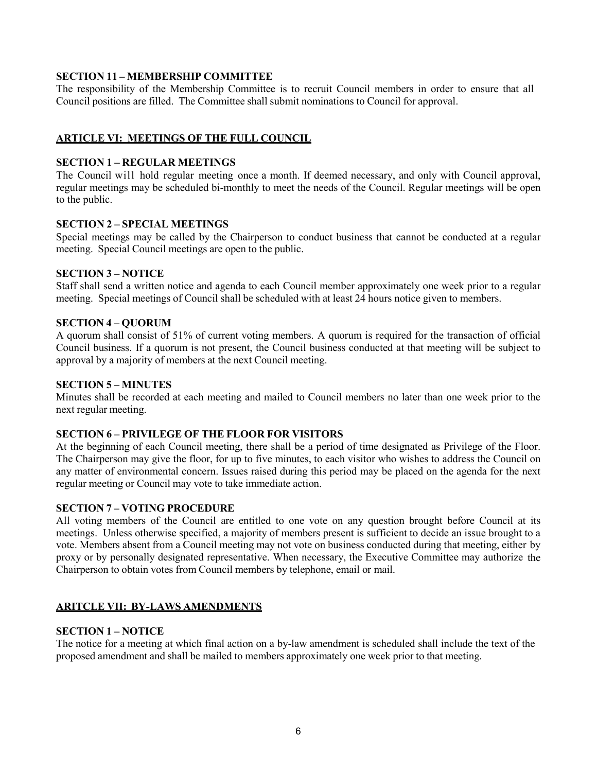# **SECTION 11 – MEMBERSHIP COMMITTEE**

The responsibility of the Membership Committee is to recruit Council members in order to ensure that all Council positions are filled. The Committee shall submit nominations to Council for approval.

## **ARTICLE VI: MEETINGS OF THE FULL COUNCIL**

### **SECTION 1 – REGULAR MEETINGS**

The Council will hold regular meeting once a month. If deemed necessary, and only with Council approval, regular meetings may be scheduled bi-monthly to meet the needs of the Council. Regular meetings will be open to the public.

## **SECTION 2 – SPECIAL MEETINGS**

Special meetings may be called by the Chairperson to conduct business that cannot be conducted at a regular meeting. Special Council meetings are open to the public.

## **SECTION 3 – NOTICE**

Staff shall send a written notice and agenda to each Council member approximately one week prior to a regular meeting. Special meetings of Council shall be scheduled with at least 24 hours notice given to members.

### **SECTION 4 – QUORUM**

A quorum shall consist of 51% of current voting members. A quorum is required for the transaction of official Council business. If a quorum is not present, the Council business conducted at that meeting will be subject to approval by a majority of members at the next Council meeting.

### **SECTION 5 – MINUTES**

Minutes shall be recorded at each meeting and mailed to Council members no later than one week prior to the next regular meeting.

# **SECTION 6 – PRIVILEGE OF THE FLOOR FOR VISITORS**

At the beginning of each Council meeting, there shall be a period of time designated as Privilege of the Floor. The Chairperson may give the floor, for up to five minutes, to each visitor who wishes to address the Council on any matter of environmental concern. Issues raised during this period may be placed on the agenda for the next regular meeting or Council may vote to take immediate action.

## **SECTION 7 – VOTING PROCEDURE**

All voting members of the Council are entitled to one vote on any question brought before Council at its meetings. Unless otherwise specified, a majority of members present is sufficient to decide an issue brought to a vote. Members absent from a Council meeting may not vote on business conducted during that meeting, either by proxy or by personally designated representative. When necessary, the Executive Committee may authorize the Chairperson to obtain votes from Council members by telephone, email or mail.

## **ARITCLE VII: BY-LAWS AMENDMENTS**

## **SECTION 1 – NOTICE**

The notice for a meeting at which final action on a by-law amendment is scheduled shall include the text of the proposed amendment and shall be mailed to members approximately one week prior to that meeting.